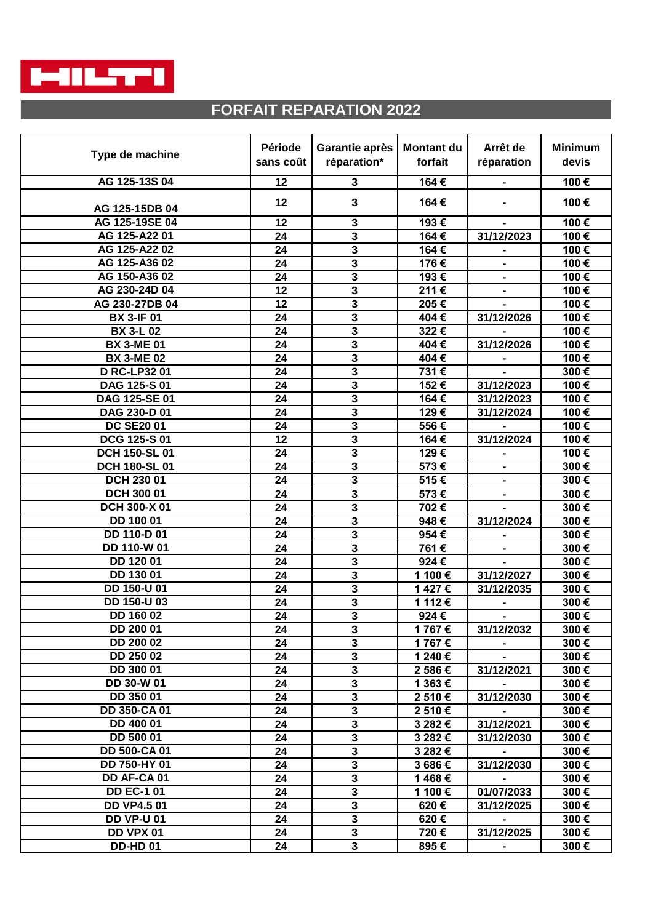

## **FORFAIT REPARATION 2022**

| Type de machine     | Période   | Garantie après            | <b>Montant du</b> | Arrêt de                     | <b>Minimum</b> |
|---------------------|-----------|---------------------------|-------------------|------------------------------|----------------|
|                     | sans coût | réparation*               | forfait           | réparation                   | devis          |
| AG 125-13S 04       | 12        | 3                         | 164€              |                              | 100€           |
|                     | 12        | 3                         | 164€              |                              | 100€           |
| AG 125-15DB 04      |           |                           |                   |                              |                |
| AG 125-19SE 04      | 12        | $\mathbf{3}$              | 193€              |                              | 100€           |
| AG 125-A22 01       | 24        | $\mathbf 3$               | 164€              | 31/12/2023                   | 100€           |
| AG 125-A22 02       | 24        | $\overline{\mathbf{3}}$   | 164€              | $\blacksquare$               | 100€           |
| AG 125-A36 02       | 24        | $\overline{\mathbf{3}}$   | 176€              |                              | 100€           |
| AG 150-A36 02       | 24        | 3                         | 193€              | $\blacksquare$               | 100€           |
| AG 230-24D 04       | 12        | 3                         | 211€              | $\qquad \qquad \blacksquare$ | 100€           |
| AG 230-27DB 04      | 12        | 3                         | 205€              | $\blacksquare$               | 100€           |
| <b>BX 3-IF 01</b>   | 24        | 3                         | 404€              | 31/12/2026                   | 100€           |
| <b>BX 3-L 02</b>    | 24        | 3                         | 322€              |                              | 100€           |
| <b>BX 3-ME 01</b>   | 24        | 3                         | 404€              | 31/12/2026                   | 100€           |
| <b>BX 3-ME 02</b>   | 24        | $\mathbf 3$               | 404€              |                              | 100€           |
| <b>D RC-LP32 01</b> | 24        | 3                         | 731€              |                              | 300€           |
| DAG 125-S 01        | 24        | 3                         | 152€              | 31/12/2023                   | 100€           |
| DAG 125-SE 01       | 24        | 3                         | 164€              | 31/12/2023                   | 100€           |
| DAG 230-D 01        | 24        | 3                         | 129€              | 31/12/2024                   | 100€           |
| <b>DC SE2001</b>    | 24        | $\overline{\mathbf{3}}$   | 556€              |                              | 100€           |
| DCG 125-S 01        | 12        | 3                         | 164€              | 31/12/2024                   | 100€           |
| DCH 150-SL 01       | 24        | $\overline{\mathbf{3}}$   | 129€              |                              | 100€           |
| DCH 180-SL 01       | 24        | $\overline{\mathbf{3}}$   | 573€              |                              | 300€           |
| DCH 230 01          | 24        | $\overline{\mathbf{3}}$   | 515€              |                              | 300€           |
| DCH 300 01          | 24        | 3                         | 573€              | $\blacksquare$               | 300€           |
| DCH 300-X 01        | 24        | $\overline{\mathbf{3}}$   | 702€              |                              | 300€           |
| DD 100 01           | 24        | 3                         | 948€              | 31/12/2024                   | 300€           |
| DD 110-D 01         | 24        | 3                         | 954€              | $\blacksquare$               | 300€           |
| DD 110-W 01         | 24        | 3                         | 761€              |                              | 300€           |
| DD 120 01           | 24        | 3                         | 924€              |                              | 300€           |
| DD 130 01           | 24        | $\mathbf 3$               | 1 100€            | 31/12/2027                   | 300€           |
| DD 150-U 01         | 24        | 3                         | 1427€             | 31/12/2035                   | 300€           |
| DD 150-U 03         | 24        | 3                         | 1 112 €           |                              | 300€           |
| DD 160 02           | 24        | $\overline{\mathbf{3}}$   | 924€              | $\blacksquare$               | 300€           |
| DD 200 01           | 24        | 3                         | 1767€             | 31/12/2032                   | 300€           |
| DD 200 02           | 24        | $\overline{\mathbf{3}}$   | 1767€             |                              | 300€           |
| DD 250 02           | 24        | $\overline{\mathbf{3}}$   | 1 240 €           |                              | 300€           |
| DD 300 01           | 24        | $\overline{\mathbf{3}}$   | 2 586€            | 31/12/2021                   | 300€           |
| DD 30-W 01          | 24        | $\overline{\mathbf{3}}$   | 1 363 €           |                              | 300€           |
| DD 350 01           | 24        | $\overline{\overline{3}}$ | 2 510€            | 31/12/2030                   | 300€           |
| <b>DD 350-CA01</b>  | 24        | $\overline{\mathbf{3}}$   | 2 510€            |                              | 300€           |
| DD 400 01           | 24        | $\mathbf 3$               | 3 282 €           | 31/12/2021                   | 300€           |
| DD 500 01           | 24        | $\overline{\mathbf{3}}$   | 3 282 €           | 31/12/2030                   | 300€           |
| DD 500-CA 01        | 24        | $\mathbf 3$               | 3 282€            |                              | 300€           |
| DD 750-HY 01        | 24        | $\mathbf{3}$              | 3 686€            | 31/12/2030                   | 300€           |
| DD AF-CA 01         | 24        | $\mathbf 3$               | 1468€             |                              | 300€           |
| <b>DD EC-1 01</b>   | 24        | $\mathbf{3}$              | 1 100€            | 01/07/2033                   | 300€           |
| <b>DD VP4.501</b>   | 24        | $\mathbf 3$               | 620€              | 31/12/2025                   | 300€           |
| <b>DD VP-U 01</b>   | 24        | $\mathbf{3}$              | 620€              |                              | 300€           |
| DD VPX 01           | 24        | $\mathbf{3}$              | 720€              | 31/12/2025                   | 300€           |
| <b>DD-HD 01</b>     | 24        | $\mathbf{3}$              | 895€              |                              | 300€           |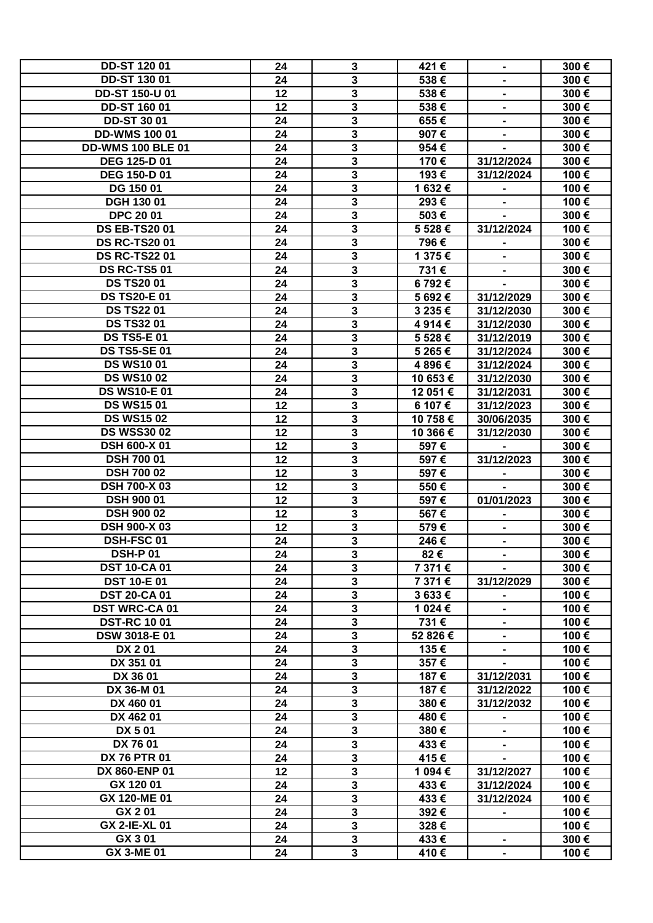| <b>DD-ST 120 01</b>      | 24 | $\mathbf{3}$            | 421€     | $\blacksquare$           | 300€ |
|--------------------------|----|-------------------------|----------|--------------------------|------|
| <b>DD-ST 130 01</b>      | 24 | $\overline{\mathbf{3}}$ | 538€     |                          | 300€ |
| <b>DD-ST 150-U 01</b>    | 12 | 3                       | 538€     |                          | 300€ |
| <b>DD-ST 160 01</b>      | 12 | $\overline{\mathbf{3}}$ | 538€     | Ξ.                       | 300€ |
| <b>DD-ST 3001</b>        | 24 | $\overline{\mathbf{3}}$ | 655€     | $\overline{\phantom{0}}$ | 300€ |
| <b>DD-WMS 100 01</b>     | 24 | $\overline{\mathbf{3}}$ | 907€     |                          | 300€ |
| <b>DD-WMS 100 BLE 01</b> | 24 | $\overline{\mathbf{3}}$ | 954€     |                          | 300€ |
| <b>DEG 125-D 01</b>      | 24 | $\overline{\mathbf{3}}$ | 170€     | 31/12/2024               | 300€ |
| <b>DEG 150-D 01</b>      | 24 | $\overline{\mathbf{3}}$ | 193€     | 31/12/2024               | 100€ |
| DG 150 01                | 24 | $\overline{\mathbf{3}}$ | 1632€    |                          | 100€ |
| <b>DGH 130 01</b>        | 24 | 3                       | 293€     | $\blacksquare$           | 100€ |
| <b>DPC 2001</b>          |    |                         |          | $\blacksquare$           |      |
|                          | 24 | 3                       | 503€     | $\blacksquare$           | 300€ |
| <b>DS EB-TS2001</b>      | 24 | 3                       | 5 528€   | 31/12/2024               | 100€ |
| <b>DS RC-TS2001</b>      | 24 | 3                       | 796€     | $\blacksquare$           | 300€ |
| <b>DS RC-TS2201</b>      | 24 | 3                       | 1 375€   |                          | 300€ |
| <b>DS RC-TS5 01</b>      | 24 | 3                       | 731€     |                          | 300€ |
| <b>DS TS2001</b>         | 24 | 3                       | 6792€    |                          | 300€ |
| <b>DS TS20-E01</b>       | 24 | $\overline{\mathbf{3}}$ | 5692€    | 31/12/2029               | 300€ |
| <b>DS TS22 01</b>        | 24 | 3                       | 3 235 €  | 31/12/2030               | 300€ |
| <b>DS TS32 01</b>        | 24 | 3                       | 4914€    | 31/12/2030               | 300€ |
| <b>DS TS5-E 01</b>       | 24 | $\overline{\mathbf{3}}$ | 5 528€   | 31/12/2019               | 300€ |
| <b>DS TS5-SE 01</b>      | 24 | $\overline{\mathbf{3}}$ | 5 265 €  | 31/12/2024               | 300€ |
| <b>DS WS1001</b>         | 24 | $\overline{\mathbf{3}}$ | 4 896€   | 31/12/2024               | 300€ |
| <b>DS WS1002</b>         | 24 | $\overline{\mathbf{3}}$ | 10 653€  | 31/12/2030               | 300€ |
| <b>DS WS10-E01</b>       | 24 | 3                       | 12 051 € | 31/12/2031               | 300€ |
| <b>DS WS1501</b>         | 12 | $\overline{\mathbf{3}}$ | 6 107 €  | 31/12/2023               | 300€ |
| <b>DS WS1502</b>         | 12 | $\overline{\mathbf{3}}$ | 10 758 € | 30/06/2035               | 300€ |
| <b>DS WSS3002</b>        | 12 | 3                       | 10 366 € | 31/12/2030               | 300€ |
| <b>DSH 600-X 01</b>      | 12 | 3                       | 597€     |                          | 300€ |
| <b>DSH 700 01</b>        | 12 | 3                       | 597€     | 31/12/2023               | 300€ |
| <b>DSH 700 02</b>        | 12 | $\mathbf{3}$            | 597€     | $\blacksquare$           | 300€ |
| <b>DSH 700-X03</b>       | 12 | $\mathbf{3}$            | 550€     | $\blacksquare$           | 300€ |
| <b>DSH 900 01</b>        | 12 | $\mathbf 3$             | 597€     | 01/01/2023               | 300€ |
| <b>DSH 900 02</b>        | 12 | $\overline{\mathbf{3}}$ | 567€     |                          | 300€ |
| <b>DSH 900-X 03</b>      | 12 | $\mathbf{3}$            | 579€     |                          | 300€ |
| <b>DSH-FSC01</b>         | 24 | $\overline{\mathbf{3}}$ | 246€     |                          | 300€ |
| <b>DSH-P01</b>           |    | 3                       |          | $\blacksquare$           |      |
| <b>DST 10-CA01</b>       | 24 | $\overline{\mathbf{3}}$ | 82€      |                          | 300€ |
|                          | 24 |                         | 7 371 €  |                          | 300€ |
| <b>DST 10-E01</b>        | 24 | $\overline{\mathbf{3}}$ | 7 371 €  | 31/12/2029               | 300€ |
| <b>DST 20-CA 01</b>      | 24 | $\overline{\mathbf{3}}$ | 3633€    |                          | 100€ |
| <b>DST WRC-CA01</b>      | 24 | $\overline{\mathbf{3}}$ | 1 024 €  |                          | 100€ |
| <b>DST-RC 1001</b>       | 24 | $\mathbf{3}$            | 731€     |                          | 100€ |
| <b>DSW 3018-E01</b>      | 24 | $\overline{\mathbf{3}}$ | 52 826 € | $\blacksquare$           | 100€ |
| DX 201                   | 24 | 3                       | 135€     | ٠                        | 100€ |
| DX 351 01                | 24 | $\overline{\mathbf{3}}$ | 357€     |                          | 100€ |
| DX 36 01                 | 24 | $\mathbf 3$             | 187€     | 31/12/2031               | 100€ |
| DX 36-M 01               | 24 | $\mathbf{3}$            | 187€     | 31/12/2022               | 100€ |
| DX 460 01                | 24 | $\mathbf{3}$            | 380€     | 31/12/2032               | 100€ |
| DX 462 01                | 24 | $\mathbf{3}$            | 480€     |                          | 100€ |
| DX 501                   | 24 | $\mathbf 3$             | 380€     |                          | 100€ |
| DX 76 01                 | 24 | $\mathbf{3}$            | 433€     |                          | 100€ |
| <b>DX 76 PTR 01</b>      | 24 | $\overline{\mathbf{3}}$ | 415€     |                          | 100€ |
| DX 860-ENP 01            | 12 | $\mathbf{3}$            | 1 094 €  | 31/12/2027               | 100€ |
| GX 120 01                | 24 | 3                       | 433€     | 31/12/2024               | 100€ |
| GX 120-ME 01             | 24 | $\overline{\mathbf{3}}$ | 433€     | 31/12/2024               | 100€ |
| GX 201                   | 24 | $\overline{\mathbf{3}}$ | 392€     |                          | 100€ |
| <b>GX 2-IE-XL 01</b>     | 24 | $\mathbf{3}$            | 328€     |                          | 100€ |
| GX 301                   | 24 | $\mathbf{3}$            | 433€     | $\blacksquare$           | 300€ |
| GX 3-ME 01               | 24 | $\overline{\mathbf{3}}$ | 410€     | $\blacksquare$           | 100€ |
|                          |    |                         |          |                          |      |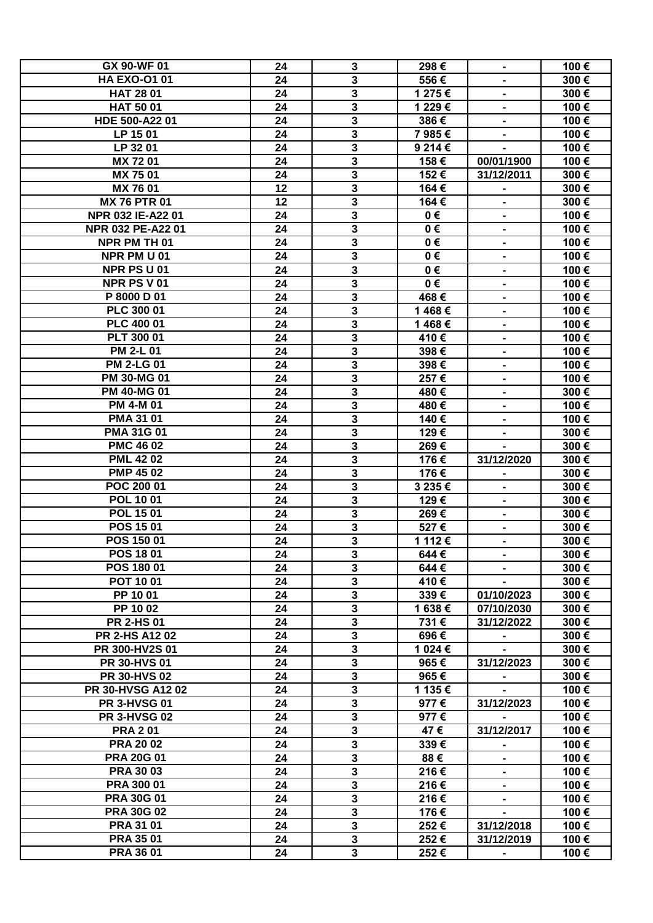| GX 90-WF 01          | 24 | $\mathbf{3}$            | 298€    | $\blacksquare$ | 100€ |
|----------------------|----|-------------------------|---------|----------------|------|
| <b>HA EXO-O101</b>   | 24 | $\overline{\mathbf{3}}$ | 556€    |                | 300€ |
| <b>HAT 28 01</b>     | 24 | 3                       | 1 275 € |                | 300€ |
| <b>HAT 50 01</b>     | 24 | 3                       | 1 229€  | Ξ.             | 100€ |
| HDE 500-A22 01       | 24 | $\overline{\mathbf{3}}$ | 386€    | $\blacksquare$ | 100€ |
| LP 15 01             | 24 | 3                       | 7985€   |                | 100€ |
| LP 32 01             | 24 | $\overline{\mathbf{3}}$ | 9 214 € |                | 100€ |
| MX 7201              | 24 | $\mathbf{3}$            | 158€    | 00/01/1900     | 100€ |
| MX 7501              | 24 | $\overline{3}$          | 152€    | 31/12/2011     | 300€ |
| MX 76 01             | 12 | $\overline{\mathbf{3}}$ | 164€    |                | 300€ |
| <b>MX 76 PTR 01</b>  | 12 | 3                       | 164€    | $\blacksquare$ | 300€ |
| NPR 032 IE-A22 01    |    |                         |         | ۰.             |      |
|                      | 24 | 3                       | 0€      | $\blacksquare$ | 100€ |
| NPR 032 PE-A22 01    | 24 | 3                       | 0€      | $\blacksquare$ | 100€ |
| NPR PM TH 01         | 24 | 3                       | 0€      | $\blacksquare$ | 100€ |
| NPR PM U 01          | 24 | $\mathbf{3}$            | 0€      | -              | 100€ |
| NPR PS U 01          | 24 | $\overline{\mathbf{3}}$ | 0€      |                | 100€ |
| NPR PS V 01          | 24 | $\mathbf 3$             | 0€      |                | 100€ |
| P 8000 D 01          | 24 | $\overline{\mathbf{3}}$ | 468€    | $\blacksquare$ | 100€ |
| PLC 300 01           | 24 | 3                       | 1468€   | $\blacksquare$ | 100€ |
| PLC 400 01           | 24 | 3                       | 1468€   | $\blacksquare$ | 100€ |
| PLT 300 01           | 24 | 3                       | 410€    |                | 100€ |
| <b>PM 2-L 01</b>     | 24 | $\overline{\mathbf{3}}$ | 398€    |                | 100€ |
| <b>PM 2-LG 01</b>    | 24 | $\overline{\mathbf{3}}$ | 398€    | -              | 100€ |
| <b>PM 30-MG 01</b>   | 24 | $\overline{\mathbf{3}}$ | 257€    |                | 100€ |
| <b>PM 40-MG 01</b>   | 24 | 3                       | 480€    |                | 300€ |
| PM 4-M 01            | 24 | $\overline{\mathbf{3}}$ | 480€    | $\blacksquare$ | 100€ |
| <b>PMA 31 01</b>     | 24 | $\overline{\mathbf{3}}$ | 140€    | ۰.             | 100€ |
| <b>PMA 31G 01</b>    | 24 | 3                       | 129€    | $\blacksquare$ | 300€ |
| <b>PMC 46 02</b>     | 24 | $\mathbf 3$             | 269€    |                | 300€ |
| <b>PML 4202</b>      | 24 | 3                       | 176€    | 31/12/2020     | 300€ |
| <b>PMP 45 02</b>     | 24 | $\mathbf{3}$            | 176€    |                | 300€ |
| POC 200 01           | 24 | $\mathbf{3}$            | 3 235€  |                | 300€ |
| <b>POL 1001</b>      | 24 | $\mathbf 3$             | 129€    |                | 300€ |
| <b>POL 1501</b>      | 24 | $\overline{\mathbf{3}}$ | 269€    | $\blacksquare$ | 300€ |
| POS 1501             | 24 | $\mathbf{3}$            | 527€    |                | 300€ |
| POS 150 01           | 24 | $\overline{\mathbf{3}}$ | 1 112 € |                | 300€ |
| POS 1801             | 24 | 3                       | 644€    |                | 300€ |
| POS 180 01           | 24 | $\overline{\mathbf{3}}$ | 644€    |                | 300€ |
| <b>POT 1001</b>      | 24 | $\overline{\mathbf{3}}$ |         |                |      |
|                      |    |                         | 410€    |                | 300€ |
| PP 10 01             | 24 | $\overline{\mathbf{3}}$ | 339€    | 01/10/2023     | 300€ |
| PP 10 02             | 24 | $\overline{\mathbf{3}}$ | 1638€   | 07/10/2030     | 300€ |
| <b>PR 2-HS 01</b>    | 24 | $\mathbf{3}$            | 731€    | 31/12/2022     | 300€ |
| <b>PR 2-HS A1202</b> | 24 | $\overline{\mathbf{3}}$ | 696€    | $\blacksquare$ | 300€ |
| PR 300-HV2S 01       | 24 | 3                       | 1 024 € |                | 300€ |
| <b>PR 30-HVS 01</b>  | 24 | $\overline{\mathbf{3}}$ | 965€    | 31/12/2023     | 300€ |
| <b>PR 30-HVS 02</b>  | 24 | $\mathbf 3$             | 965€    |                | 300€ |
| PR 30-HVSG A12 02    | 24 | $\overline{\mathbf{3}}$ | 1 135€  |                | 100€ |
| <b>PR 3-HVSG 01</b>  | 24 | $\mathbf 3$             | 977€    | 31/12/2023     | 100€ |
| <b>PR 3-HVSG 02</b>  | 24 | $\mathbf{3}$            | 977€    |                | 100€ |
| <b>PRA 201</b>       | 24 | $\mathbf{3}$            | 47€     | 31/12/2017     | 100€ |
| <b>PRA 2002</b>      | 24 | $\mathbf{3}$            | 339€    |                | 100€ |
| <b>PRA 20G 01</b>    | 24 | $\mathbf{3}$            | 88€     |                | 100€ |
| <b>PRA 30 03</b>     | 24 | $\overline{\mathbf{3}}$ | 216€    |                | 100€ |
| <b>PRA 300 01</b>    | 24 | 3                       | 216€    |                | 100€ |
| <b>PRA 30G 01</b>    | 24 | $\overline{\mathbf{3}}$ | 216€    |                | 100€ |
| <b>PRA 30G 02</b>    | 24 | $\overline{\mathbf{3}}$ | 176€    |                | 100€ |
| <b>PRA 31 01</b>     | 24 | $\overline{\mathbf{3}}$ | 252€    | 31/12/2018     | 100€ |
| <b>PRA 35 01</b>     | 24 | $\overline{\mathbf{3}}$ | 252€    | 31/12/2019     | 100€ |
| <b>PRA 36 01</b>     | 24 | $\overline{\mathbf{3}}$ | 252€    | $\blacksquare$ | 100€ |
|                      |    |                         |         |                |      |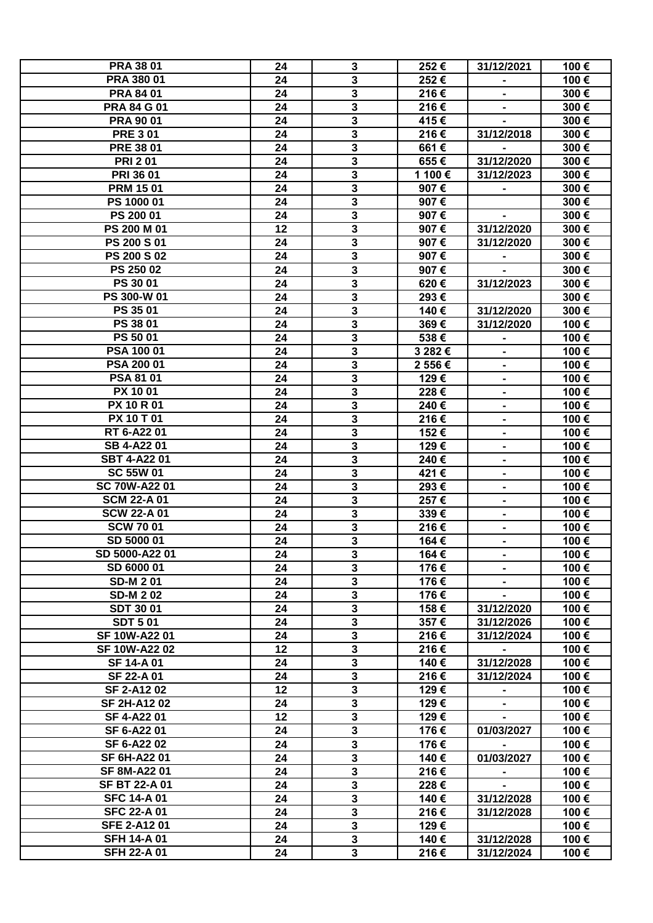| <b>PRA 38 01</b>     | 24 | $\mathbf{3}$            | 252€    | 31/12/2021     | 100€ |
|----------------------|----|-------------------------|---------|----------------|------|
| <b>PRA 380 01</b>    | 24 | $\overline{\mathbf{3}}$ | 252€    |                | 100€ |
| <b>PRA 84 01</b>     | 24 | 3                       | 216€    |                | 300€ |
| <b>PRA 84 G 01</b>   | 24 | 3                       | 216€    |                | 300€ |
| <b>PRA 90 01</b>     | 24 | $\overline{\mathbf{3}}$ | 415€    |                | 300€ |
| <b>PRE 301</b>       | 24 | $\overline{\mathbf{3}}$ | 216€    | 31/12/2018     | 300€ |
| <b>PRE 38 01</b>     | 24 | $\overline{\mathbf{3}}$ | 661€    |                | 300€ |
| <b>PRI 201</b>       | 24 | $\overline{\mathbf{3}}$ | 655€    | 31/12/2020     | 300€ |
| <b>PRI 36 01</b>     | 24 | $\overline{\mathbf{3}}$ | 1 100€  | 31/12/2023     | 300€ |
| <b>PRM 1501</b>      | 24 | $\overline{\mathbf{3}}$ | 907€    |                | 300€ |
| PS 1000 01           | 24 | $\overline{\mathbf{3}}$ | 907€    |                | 300€ |
| PS 200 01            | 24 | $\overline{\mathbf{3}}$ | 907€    | $\blacksquare$ | 300€ |
| PS 200 M 01          | 12 | 3                       | 907€    | 31/12/2020     | 300€ |
| PS 200 S 01          | 24 | 3                       | 907€    | 31/12/2020     | 300€ |
| <b>PS 200 S 02</b>   | 24 | 3                       | 907€    |                | 300€ |
| PS 250 02            | 24 | $\overline{\mathbf{3}}$ | 907€    |                | 300€ |
| <b>PS 30 01</b>      | 24 | 3                       |         | 31/12/2023     | 300€ |
| PS 300-W 01          |    |                         | 620€    |                |      |
| PS 35 01             | 24 | $\overline{\mathbf{3}}$ | 293€    |                | 300€ |
|                      | 24 | $\overline{\mathbf{3}}$ | 140€    | 31/12/2020     | 300€ |
| PS 38 01             | 24 | $\overline{\mathbf{3}}$ | 369€    | 31/12/2020     | 100€ |
| PS 50 01             | 24 | $\overline{\mathbf{3}}$ | 538€    |                | 100€ |
| PSA 100 01           | 24 | $\overline{\mathbf{3}}$ | 3 282 € |                | 100€ |
| PSA 200 01           | 24 | $\overline{\mathbf{3}}$ | 2 556€  |                | 100€ |
| PSA 81 01            | 24 | $\overline{\mathbf{3}}$ | 129€    |                | 100€ |
| PX 1001              | 24 | 3                       | 228€    | Ξ.             | 100€ |
| <b>PX 10 R 01</b>    | 24 | $\overline{\mathbf{3}}$ | 240€    | $\blacksquare$ | 100€ |
| <b>PX 10 T 01</b>    | 24 | 3                       | 216€    | $\blacksquare$ | 100€ |
| RT 6-A22 01          | 24 | 3                       | 152€    | $\blacksquare$ | 100€ |
| SB 4-A22 01          | 24 | 3                       | 129€    | $\blacksquare$ | 100€ |
| <b>SBT 4-A2201</b>   | 24 | $\overline{\mathbf{3}}$ | 240€    | $\blacksquare$ | 100€ |
| <b>SC 55W 01</b>     | 24 | 3                       | 421€    |                | 100€ |
| <b>SC 70W-A22 01</b> | 24 | 3                       | 293€    |                | 100€ |
| <b>SCM 22-A01</b>    | 24 | 3                       | 257€    |                | 100€ |
| <b>SCW 22-A01</b>    | 24 | $\overline{3}$          | 339€    | $\blacksquare$ | 100€ |
| <b>SCW 7001</b>      | 24 | 3                       | 216€    |                | 100€ |
| SD 5000 01           | 24 | $\overline{\mathbf{3}}$ | 164€    |                | 100€ |
| SD 5000-A22 01       | 24 | 3                       | 164€    |                | 100€ |
| SD 6000 01           | 24 | $\overline{\mathbf{3}}$ | 176€    |                | 100€ |
| <b>SD-M 201</b>      | 24 | $\overline{\mathbf{3}}$ | 176€    |                | 100€ |
| <b>SD-M202</b>       | 24 | $\overline{\mathbf{3}}$ | 176€    |                | 100€ |
| <b>SDT 3001</b>      | 24 | $\overline{\mathbf{3}}$ | 158€    | 31/12/2020     | 100€ |
| <b>SDT 501</b>       | 24 | 3                       | 357€    | 31/12/2026     | 100€ |
| SF 10W-A22 01        | 24 | $\overline{\mathbf{3}}$ | 216€    | 31/12/2024     | 100€ |
| SF 10W-A22 02        | 12 | 3                       | 216€    |                | 100€ |
| SF 14-A 01           | 24 | 3                       | 140€    | 31/12/2028     | 100€ |
| SF 22-A 01           | 24 | 3                       | 216€    | 31/12/2024     | 100€ |
| SF 2-A1202           | 12 | $\overline{\mathbf{3}}$ | 129€    |                | 100€ |
| <b>SF 2H-A1202</b>   | 24 | 3                       | 129€    |                | 100€ |
| SF 4-A22 01          | 12 | $\overline{\mathbf{3}}$ | 129€    |                | 100€ |
| SF 6-A22 01          | 24 | 3                       | 176€    | 01/03/2027     | 100€ |
| SF 6-A22 02          | 24 | $\mathbf{3}$            | 176€    |                | 100€ |
| SF 6H-A22 01         | 24 | 3                       | 140€    | 01/03/2027     | 100€ |
| SF 8M-A22 01         | 24 | $\overline{\mathbf{3}}$ | 216€    |                | 100€ |
| <b>SF BT 22-A 01</b> | 24 | 3                       | 228€    |                | 100€ |
| <b>SFC 14-A 01</b>   | 24 | $\overline{\mathbf{3}}$ | 140€    | 31/12/2028     | 100€ |
| <b>SFC 22-A01</b>    | 24 | 3                       | 216€    | 31/12/2028     | 100€ |
| <b>SFE 2-A1201</b>   | 24 | $\overline{\mathbf{3}}$ | 129€    |                | 100€ |
| <b>SFH 14-A 01</b>   | 24 | $\overline{\mathbf{3}}$ | 140€    | 31/12/2028     | 100€ |
| <b>SFH 22-A01</b>    | 24 | $\mathbf{3}$            | 216€    | 31/12/2024     | 100€ |
|                      |    |                         |         |                |      |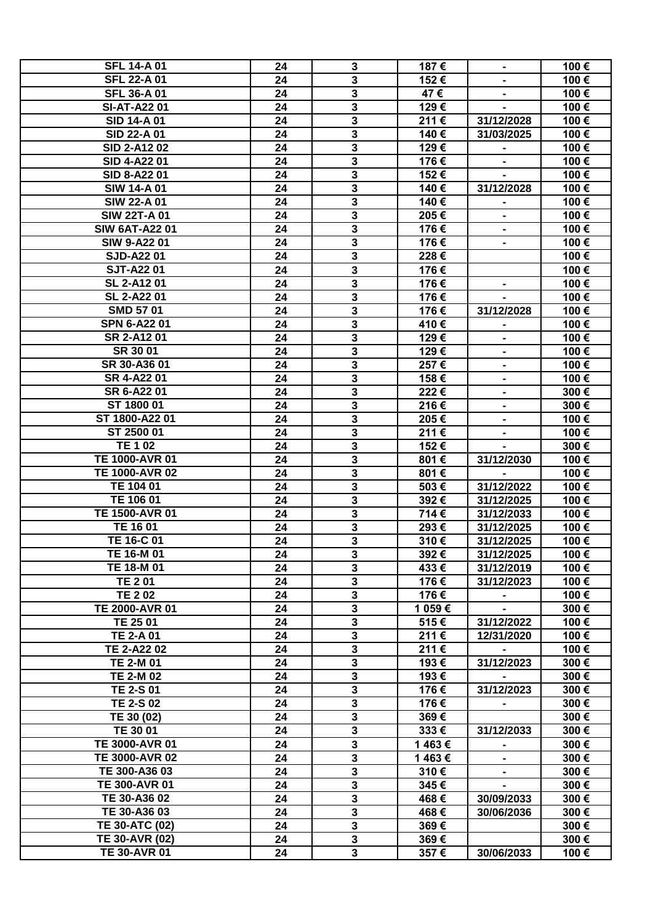| <b>SFL 14-A 01</b>    | 24 | $\mathbf{3}$              | 187€   | $\blacksquare$ | 100€ |
|-----------------------|----|---------------------------|--------|----------------|------|
| <b>SFL 22-A01</b>     | 24 | $\overline{\mathbf{3}}$   | 152€   |                | 100€ |
| <b>SFL 36-A01</b>     | 24 | 3                         | 47€    |                | 100€ |
| <b>SI-AT-A2201</b>    | 24 | $\overline{\mathbf{3}}$   | 129€   |                | 100€ |
| <b>SID 14-A 01</b>    | 24 | $\overline{\mathbf{3}}$   | 211€   | 31/12/2028     | 100€ |
| SID 22-A 01           | 24 | $\overline{\mathbf{3}}$   | 140€   | 31/03/2025     | 100€ |
| <b>SID 2-A1202</b>    | 24 | $\overline{\mathbf{3}}$   | 129€   |                | 100€ |
| <b>SID 4-A22 01</b>   |    | $\overline{\mathbf{3}}$   | 176€   |                | 100€ |
|                       | 24 |                           |        |                |      |
| SID 8-A22 01          | 24 | $\overline{\mathbf{3}}$   | 152€   |                | 100€ |
| <b>SIW 14-A 01</b>    | 24 | $\overline{\mathbf{3}}$   | 140€   | 31/12/2028     | 100€ |
| <b>SIW 22-A 01</b>    | 24 | $\overline{\mathbf{3}}$   | 140€   | $\blacksquare$ | 100€ |
| <b>SIW 22T-A01</b>    | 24 | $\overline{\mathbf{3}}$   | 205€   | $\blacksquare$ | 100€ |
| <b>SIW 6AT-A22 01</b> | 24 | 3                         | 176€   | $\blacksquare$ | 100€ |
| <b>SIW 9-A2201</b>    | 24 | 3                         | 176€   | $\blacksquare$ | 100€ |
| <b>SJD-A2201</b>      | 24 | 3                         | 228€   |                | 100€ |
| <b>SJT-A2201</b>      | 24 | $\overline{\mathbf{3}}$   | 176€   |                | 100€ |
| <b>SL 2-A1201</b>     | 24 | 3                         | 176€   |                | 100€ |
| SL 2-A22 01           | 24 | $\overline{\mathbf{3}}$   | 176€   |                | 100€ |
| <b>SMD 5701</b>       | 24 | $\overline{\mathbf{3}}$   | 176€   | 31/12/2028     | 100€ |
| <b>SPN 6-A2201</b>    | 24 | $\overline{\mathbf{3}}$   | 410€   |                | 100€ |
| SR 2-A1201            | 24 | $\overline{\mathbf{3}}$   | 129€   |                | 100€ |
| SR 30 01              | 24 | $\overline{\mathbf{3}}$   | 129€   |                | 100€ |
| SR 30-A36 01          | 24 | $\overline{\mathbf{3}}$   | 257€   |                | 100€ |
| SR 4-A22 01           | 24 | $\overline{\mathbf{3}}$   | 158€   |                | 100€ |
| SR 6-A22 01           | 24 | 3                         | 222€   |                | 300€ |
| ST 1800 01            | 24 | $\overline{\mathbf{3}}$   | 216€   | $\blacksquare$ | 300€ |
| ST 1800-A22 01        |    | 3                         |        |                |      |
|                       | 24 |                           | 205€   | $\blacksquare$ | 100€ |
| ST 2500 01            | 24 | 3                         | 211€   | $\blacksquare$ | 100€ |
| <b>TE 1 02</b>        | 24 | 3                         | 152€   |                | 300€ |
| TE 1000-AVR 01        | 24 | $\overline{\mathbf{3}}$   | 801€   | 31/12/2030     | 100€ |
| <b>TE 1000-AVR 02</b> | 24 | 3                         | 801€   |                | 100€ |
| TE 104 01             | 24 | 3                         | 503€   | 31/12/2022     | 100€ |
| TE 106 01             | 24 | 3                         | 392€   | 31/12/2025     | 100€ |
| <b>TE 1500-AVR 01</b> | 24 | $\overline{3}$            | 714€   | 31/12/2033     | 100€ |
| TE 16 01              | 24 | 3                         | 293€   | 31/12/2025     | 100€ |
| TE 16-C 01            | 24 | $\overline{\mathbf{3}}$   | 310€   | 31/12/2025     | 100€ |
| TE 16-M 01            | 24 | 3                         | 392€   | 31/12/2025     | 100€ |
| TE 18-M 01            | 24 | $\overline{\overline{3}}$ | 433€   | 31/12/2019     | 100€ |
| <b>TE 201</b>         | 24 | $\overline{\mathbf{3}}$   | 176€   | 31/12/2023     | 100€ |
| <b>TE 202</b>         | 24 | $\overline{\mathbf{3}}$   | 176€   |                | 100€ |
| TE 2000-AVR 01        | 24 | $\overline{\mathbf{3}}$   | 1 059€ |                | 300€ |
| TE 25 01              | 24 | $\overline{\mathbf{3}}$   | 515€   | 31/12/2022     | 100€ |
| TE 2-A 01             | 24 | $\overline{\mathbf{3}}$   | 211€   | 12/31/2020     | 100€ |
| TE 2-A22 02           | 24 | $\overline{\mathbf{3}}$   | 211€   |                | 100€ |
| <b>TE 2-M 01</b>      | 24 | 3                         | 193€   | 31/12/2023     | 300€ |
| <b>TE 2-M 02</b>      | 24 | 3                         | 193€   |                | 300€ |
| <b>TE 2-S 01</b>      | 24 | $\overline{\mathbf{3}}$   | 176€   | 31/12/2023     | 300€ |
| <b>TE 2-S 02</b>      | 24 | 3                         | 176€   |                | 300€ |
| TE 30 (02)            | 24 | $\overline{\mathbf{3}}$   | 369€   |                | 300€ |
| TE 30 01              |    |                           |        |                |      |
|                       | 24 | 3                         | 333€   | 31/12/2033     | 300€ |
| TE 3000-AVR 01        | 24 | $\mathbf{3}$              | 1463€  |                | 300€ |
| TE 3000-AVR 02        | 24 | 3                         | 1463€  |                | 300€ |
| TE 300-A36 03         | 24 | $\overline{\mathbf{3}}$   | 310€   |                | 300€ |
| <b>TE 300-AVR 01</b>  | 24 | $\overline{\mathbf{3}}$   | 345€   |                | 300€ |
| TE 30-A36 02          | 24 | $\overline{\mathbf{3}}$   | 468€   | 30/09/2033     | 300€ |
| TE 30-A36 03          | 24 | $\overline{\mathbf{3}}$   | 468€   | 30/06/2036     | 300€ |
| <b>TE 30-ATC (02)</b> | 24 | $\overline{\mathbf{3}}$   | 369€   |                | 300€ |
| <b>TE 30-AVR (02)</b> | 24 | $\overline{\mathbf{3}}$   | 369€   |                | 300€ |
| <b>TE 30-AVR 01</b>   | 24 | $\overline{\mathbf{3}}$   | 357€   | 30/06/2033     | 100€ |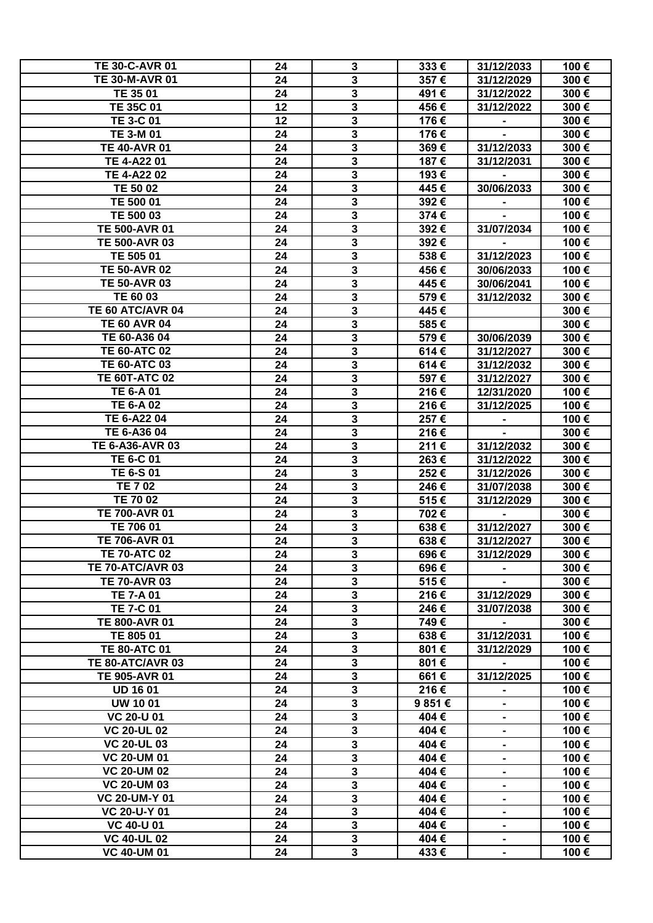| <b>TE 30-C-AVR 01</b>          | 24 | 3                       | 333€   | 31/12/2033     | 100€ |
|--------------------------------|----|-------------------------|--------|----------------|------|
| <b>TE 30-M-AVR 01</b>          | 24 | $\mathbf{3}$            | 357€   | 31/12/2029     | 300€ |
| TE 35 01                       | 24 | $\overline{\mathbf{3}}$ | 491€   | 31/12/2022     | 300€ |
| <b>TE 35C 01</b>               | 12 | $\overline{\mathbf{3}}$ | 456€   | 31/12/2022     | 300€ |
|                                |    |                         |        |                |      |
| <b>TE 3-C 01</b>               | 12 | $\overline{\mathbf{3}}$ | 176€   |                | 300€ |
| <b>TE 3-M 01</b>               | 24 | $\mathbf{3}$            | 176€   |                | 300€ |
| <b>TE 40-AVR 01</b>            | 24 | $\overline{\mathbf{3}}$ | 369€   | 31/12/2033     | 300€ |
| TE 4-A22 01                    | 24 | $\overline{\mathbf{3}}$ | 187€   | 31/12/2031     | 300€ |
| TE 4-A22 02                    | 24 | $\overline{\mathbf{3}}$ | 193€   |                | 300€ |
| TE 50 02                       |    | $\overline{3}$          | 445€   | 30/06/2033     | 300€ |
|                                | 24 |                         |        |                |      |
| TE 500 01                      | 24 | $\mathbf 3$             | 392€   |                | 100€ |
| TE 500 03                      | 24 | $\overline{\mathbf{3}}$ | 374€   |                | 100€ |
| <b>TE 500-AVR 01</b>           | 24 | $\overline{\mathbf{3}}$ | 392€   | 31/07/2034     | 100€ |
| <b>TE 500-AVR 03</b>           | 24 | $\overline{\mathbf{3}}$ | 392€   | $\blacksquare$ | 100€ |
| TE 505 01                      | 24 | $\mathbf 3$             | 538€   | 31/12/2023     | 100€ |
| <b>TE 50-AVR 02</b>            | 24 | $\overline{\mathbf{3}}$ |        |                |      |
|                                |    |                         | 456€   | 30/06/2033     | 100€ |
| <b>TE 50-AVR 03</b>            | 24 | $\mathbf{3}$            | 445€   | 30/06/2041     | 100€ |
| TE 60 03                       | 24 | $\mathbf{3}$            | 579€   | 31/12/2032     | 300€ |
| TE 60 ATC/AVR 04               | 24 | $\mathbf{3}$            | 445€   |                | 300€ |
| <b>TE 60 AVR 04</b>            | 24 | $\mathbf{3}$            | 585€   |                | 300€ |
| TE 60-A36 04                   | 24 | $\overline{\mathbf{3}}$ | 579€   | 30/06/2039     | 300€ |
|                                |    |                         |        |                |      |
| <b>TE 60-ATC 02</b>            | 24 | $\mathbf{3}$            | 614€   | 31/12/2027     | 300€ |
| <b>TE 60-ATC 03</b>            | 24 | $\overline{\mathbf{3}}$ | 614€   | 31/12/2032     | 300€ |
| <b>TE 60T-ATC 02</b>           | 24 | $\overline{\mathbf{3}}$ | 597€   | 31/12/2027     | 300€ |
| <b>TE 6-A 01</b>               | 24 | $\overline{\mathbf{3}}$ | 216€   | 12/31/2020     | 100€ |
| <b>TE 6-A 02</b>               | 24 | $\overline{\mathbf{3}}$ | 216€   | 31/12/2025     | 100€ |
|                                |    |                         |        |                |      |
| TE 6-A22 04                    | 24 | $\mathbf{3}$            | 257€   |                | 100€ |
| TE 6-A36 04                    | 24 | $\overline{\mathbf{3}}$ | 216€   |                | 300€ |
| TE 6-A36-AVR 03                | 24 | $\overline{\mathbf{3}}$ | 211€   | 31/12/2032     | 300€ |
| TE 6-C 01                      | 24 | $\mathbf 3$             | 263€   | 31/12/2022     | 300€ |
| TE 6-S 01                      | 24 | $\mathbf 3$             | 252€   | 31/12/2026     | 300€ |
| <b>TE 702</b>                  | 24 | $\overline{\mathbf{3}}$ | 246€   | 31/07/2038     | 300€ |
| TE 70 02                       | 24 | $\mathbf 3$             | 515€   | 31/12/2029     | 300€ |
|                                |    | $\overline{\mathbf{3}}$ |        |                |      |
| <b>TE 700-AVR 01</b>           | 24 |                         | 702€   | $\blacksquare$ | 300€ |
| TE 706 01                      | 24 | 3                       | 638€   | 31/12/2027     | 300€ |
| <b>TE 706-AVR 01</b>           | 24 | $\overline{\mathbf{3}}$ | 638€   | 31/12/2027     | 300€ |
| <b>TE 70-ATC 02</b>            | 24 | 3                       | 696€   | 31/12/2029     | 300€ |
| TE 70-ATC/AVR 03               | 24 | $\overline{\mathbf{3}}$ | 696€   |                | 300€ |
| <b>TE 70-AVR 03</b>            | 24 | $\overline{\mathbf{3}}$ | 515€   |                | 300€ |
| <b>TE 7-A 01</b>               | 24 | $\overline{\mathbf{3}}$ | 216€   |                | 300€ |
|                                |    |                         |        | 31/12/2029     |      |
| <b>TE 7-C 01</b>               | 24 | $\overline{\mathbf{3}}$ | 246€   | 31/07/2038     | 300€ |
| <b>TE 800-AVR 01</b>           | 24 | $\overline{\mathbf{3}}$ | 749€   |                | 300€ |
| TE 805 01                      | 24 | $\overline{\mathbf{3}}$ | 638€   | 31/12/2031     | 100€ |
| <b>TE 80-ATC 01</b>            | 24 | $\mathbf{3}$            | 801€   | 31/12/2029     | 100€ |
| TE 80-ATC/AVR 03               | 24 | $\overline{\mathbf{3}}$ | 801€   |                | 100€ |
| <b>TE 905-AVR 01</b>           | 24 | $\mathbf{3}$            | 661€   | 31/12/2025     | 100€ |
|                                |    |                         |        |                |      |
| <b>UD 16 01</b>                | 24 | $\mathbf{3}$            | 216€   |                | 100€ |
| <b>UW 10 01</b>                | 24 | $\mathbf{3}$            | 9 851€ | $\blacksquare$ | 100€ |
| $\overline{\text{VC}}$ 20-U 01 | 24 | $\overline{\mathbf{3}}$ | 404€   | $\blacksquare$ | 100€ |
| <b>VC 20-UL 02</b>             | 24 | $\mathbf{3}$            | 404€   |                | 100€ |
| <b>VC 20-UL 03</b>             | 24 | $\mathbf{3}$            | 404€   |                | 100€ |
| <b>VC 20-UM 01</b>             | 24 | $\mathbf{3}$            | 404€   |                | 100€ |
|                                |    |                         |        |                |      |
| <b>VC 20-UM 02</b>             | 24 | $\mathbf{3}$            | 404€   | $\blacksquare$ | 100€ |
| <b>VC 20-UM 03</b>             | 24 | $\mathbf{3}$            | 404€   | $\blacksquare$ | 100€ |
| <b>VC 20-UM-Y 01</b>           | 24 | $\mathbf{3}$            | 404€   |                | 100€ |
| <b>VC 20-U-Y 01</b>            | 24 | $\overline{\mathbf{3}}$ | 404€   |                | 100€ |
| <b>VC 40-U 01</b>              | 24 | $\mathbf{3}$            | 404€   |                | 100€ |
| <b>VC 40-UL 02</b>             | 24 | $\overline{\mathbf{3}}$ | 404€   |                | 100€ |
| <b>VC 40-UM 01</b>             | 24 | $\mathbf{3}$            |        |                |      |
|                                |    |                         | 433€   |                | 100€ |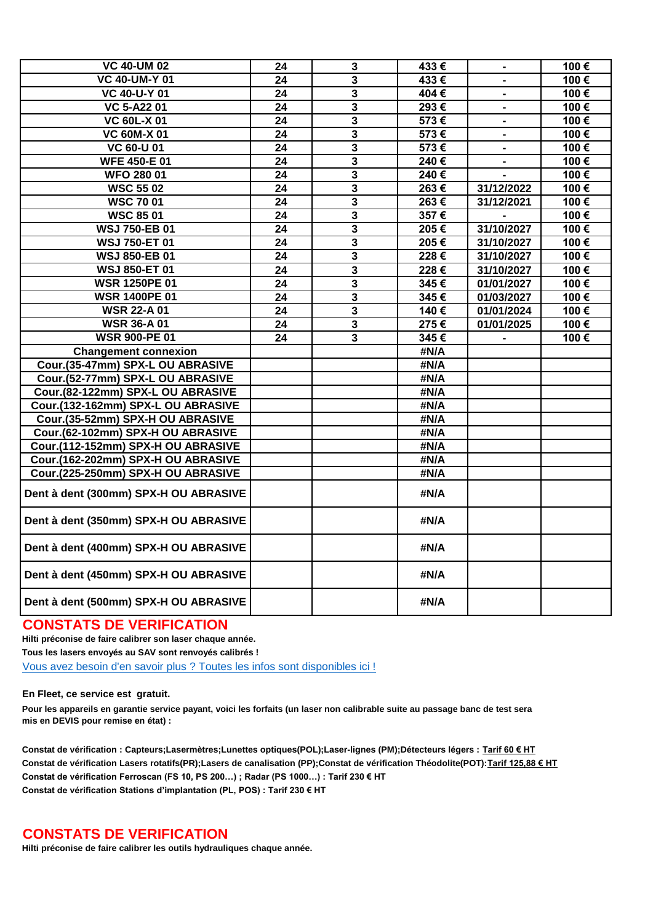| <b>VC 40-UM 02</b>                    | 24              | $\mathbf 3$             | 433€      | $\blacksquare$           | 100€ |
|---------------------------------------|-----------------|-------------------------|-----------|--------------------------|------|
| <b>VC 40-UM-Y 01</b>                  | $\overline{24}$ | $\overline{\mathbf{3}}$ | 433€      |                          | 100€ |
| <b>VC 40-U-Y 01</b>                   | $\overline{24}$ | $\overline{\mathbf{3}}$ | 404€      | $\overline{a}$           | 100€ |
| <b>VC 5-A2201</b>                     | $\overline{24}$ | $\overline{\mathbf{3}}$ | 293€      | $\frac{1}{2}$            | 100€ |
| <b>VC 60L-X 01</b>                    | 24              | $\mathbf{3}$            | 573€      | $\overline{\phantom{0}}$ | 100€ |
| <b>VC 60M-X 01</b>                    | 24              | $\overline{\mathbf{3}}$ | 573€      |                          | 100€ |
| <b>VC 60-U 01</b>                     | $\overline{24}$ | $\overline{\mathbf{3}}$ | 573€      |                          | 100€ |
| <b>WFE 450-E 01</b>                   | 24              | $\mathbf 3$             | $240 \in$ |                          | 100€ |
| <b>WFO 280 01</b>                     | 24              | $\mathbf{3}$            | 240€      |                          | 100€ |
| <b>WSC 55 02</b>                      | 24              | $\mathbf{3}$            | 263€      | 31/12/2022               | 100€ |
| <b>WSC 7001</b>                       | 24              | 3                       | 263€      | 31/12/2021               | 100€ |
| <b>WSC 8501</b>                       | 24              | $\overline{\mathbf{3}}$ | 357€      |                          | 100€ |
| <b>WSJ 750-EB 01</b>                  | $\overline{24}$ | $\overline{\mathbf{3}}$ | 205€      | 31/10/2027               | 100€ |
| <b>WSJ 750-ET 01</b>                  | $\overline{24}$ | $\overline{\mathbf{3}}$ | 205€      | 31/10/2027               | 100€ |
| <b>WSJ 850-EB 01</b>                  | 24              | $\mathbf{3}$            | 228€      | 31/10/2027               | 100€ |
| <b>WSJ 850-ET 01</b>                  | 24              | $\mathbf 3$             | 228€      | 31/10/2027               | 100€ |
| <b>WSR 1250PE 01</b>                  | 24              | $\overline{\mathbf{3}}$ | 345€      | 01/01/2027               | 100€ |
| <b>WSR 1400PE 01</b>                  | $\overline{24}$ | $\overline{\mathbf{3}}$ | 345€      | 01/03/2027               | 100€ |
| <b>WSR 22-A01</b>                     | 24              | $\overline{\mathbf{3}}$ | 140€      | 01/01/2024               | 100€ |
| <b>WSR 36-A 01</b>                    | 24              | $\overline{\mathbf{3}}$ | 275€      | 01/01/2025               | 100€ |
| <b>WSR 900-PE 01</b>                  | 24              | $\mathbf{3}$            | 345€      |                          | 100€ |
| <b>Changement connexion</b>           |                 |                         | #N/A      |                          |      |
| Cour.(35-47mm) SPX-L OU ABRASIVE      |                 |                         | #N/A      |                          |      |
| Cour.(52-77mm) SPX-L OU ABRASIVE      |                 |                         | #N/A      |                          |      |
| Cour.(82-122mm) SPX-L OU ABRASIVE     |                 |                         | #N/A      |                          |      |
| Cour.(132-162mm) SPX-L OU ABRASIVE    |                 |                         | #N/A      |                          |      |
| Cour.(35-52mm) SPX-H OU ABRASIVE      |                 |                         | #N/A      |                          |      |
| Cour.(62-102mm) SPX-H OU ABRASIVE     |                 |                         | #N/A      |                          |      |
| Cour.(112-152mm) SPX-H OU ABRASIVE    |                 |                         | #N/A      |                          |      |
| Cour.(162-202mm) SPX-H OU ABRASIVE    |                 |                         | #N/A      |                          |      |
| Cour.(225-250mm) SPX-H OU ABRASIVE    |                 |                         | #N/A      |                          |      |
| Dent à dent (300mm) SPX-H OU ABRASIVE |                 |                         | #N/A      |                          |      |
| Dent à dent (350mm) SPX-H OU ABRASIVE |                 |                         | #N/A      |                          |      |
| Dent à dent (400mm) SPX-H OU ABRASIVE |                 |                         | #N/A      |                          |      |
| Dent à dent (450mm) SPX-H OU ABRASIVE |                 |                         | #N/A      |                          |      |
| Dent à dent (500mm) SPX-H OU ABRASIVE |                 |                         | #N/A      |                          |      |

## **CONSTATS DE VERIFICATION**

**Hilti préconise de faire calibrer son laser chaque année.**

**Tous les lasers envoyés au SAV sont renvoyés calibrés !**

[Vous avez besoin d'en savoir plus ? Toutes les infos sont disponibles ici !](https://hilti.sharepoint.com/sites/E2_Community01/HiltipediaFrance/Accessoires systmes de mesure/Forms/AllItems.aspx)

**En Fleet, ce service est gratuit.**

**Pour les appareils en garantie service payant, voici les forfaits (un laser non calibrable suite au passage banc de test sera mis en DEVIS pour remise en état) :**

**Constat de vérification : Capteurs;Lasermètres;Lunettes optiques(POL);Laser-lignes (PM);Détecteurs légers : Tarif 60 € HT Constat de vérification Lasers rotatifs(PR);Lasers de canalisation (PP);Constat de vérification Théodolite(POT):Tarif 125,88 € HT Constat de vérification Ferroscan (FS 10, PS 200…) ; Radar (PS 1000…) : Tarif 230 € HT Constat de vérification Stations d'implantation (PL, POS) : Tarif 230 € HT**

## **CONSTATS DE VERIFICATION**

**Hilti préconise de faire calibrer les outils hydrauliques chaque année.**